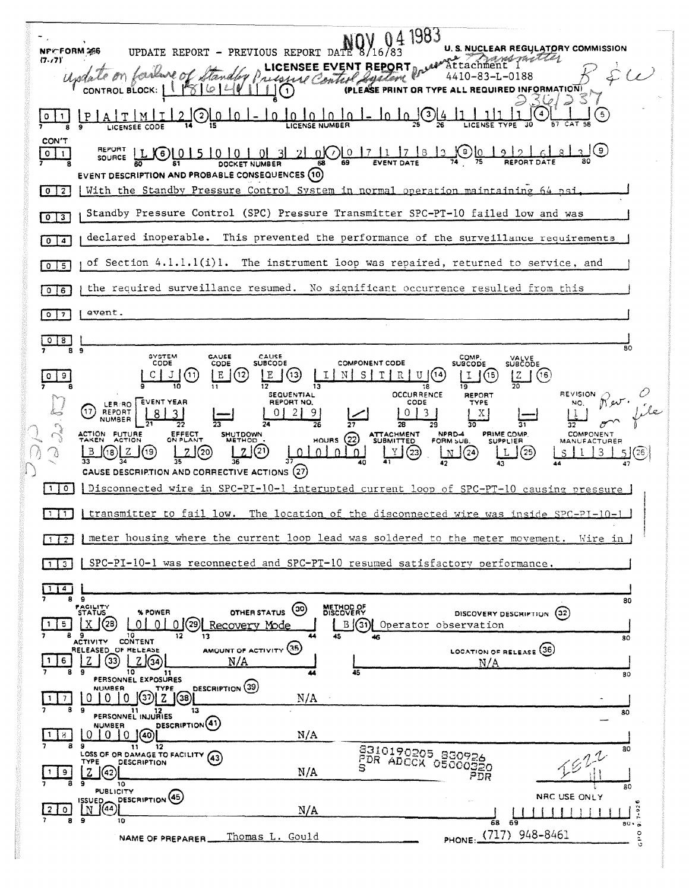|                              | 1983                                                                                                                                                                                                                                                                                |
|------------------------------|-------------------------------------------------------------------------------------------------------------------------------------------------------------------------------------------------------------------------------------------------------------------------------------|
| (7.77)                       | U. S. NUCLEAR REGULATORY COMMISSION<br>NPCFORM 266<br>8/16/8<br>UPDATE REPORT<br>PREVIOUS REPORT DATE<br>$\blacksquare$<br>and met te                                                                                                                                               |
|                              | NSEE EVENT REPORT<br>4410-83-L-0188                                                                                                                                                                                                                                                 |
|                              | (PLEASE PRINT<br><b>INFORMATION</b><br>OL BLOCK: I                                                                                                                                                                                                                                  |
|                              | LICENSEE CODE                                                                                                                                                                                                                                                                       |
| <b>CON'T</b><br>0            | 〔9〕<br>7) 0 17<br>₿.<br>- O K<br>-6.<br>SOURCE<br><b>DOCKET NUMBER</b><br>EVENT DESCRIPTION AND PROBABLE CONSEQUENCES (10)                                                                                                                                                          |
| $0 \mid 2 \mid$              | With the Standby Pressure Control System in normal operation maintaining 64 psi                                                                                                                                                                                                     |
| $\mathbf{3}$<br>$\mathbf{o}$ | Standby Pressure Control (SPC) Pressure Transmitter SPC-PT-10 failed low and was                                                                                                                                                                                                    |
| $0 \mid 4$                   | declared inoperable. This prevented the performance of the surveillance requirements                                                                                                                                                                                                |
| $0$   5                      | of Section $4.1.1.1(i)1$ .<br>The instrument loop was repaired, returned to service, and                                                                                                                                                                                            |
| $0$ $ 6$                     | the required surveillance resumed. No significant occurrence resulted from this                                                                                                                                                                                                     |
| $0 \mid 7$                   | event.                                                                                                                                                                                                                                                                              |
| $0 \mid 8$                   | 80<br>9                                                                                                                                                                                                                                                                             |
|                              | 8<br>SYSTEM<br>CAUSE<br>CAUSE<br>COMP.<br><b>VALVE</b><br>SUBCODE<br>CODE<br><b>COMPONENT CODE</b><br>CODE<br><b>SUBCODE</b><br><b>SUBCODE</b>                                                                                                                                      |
|                              | (16)<br>11<br>s<br>15<br>Е<br>12<br>13<br>R<br>ĮΖ<br>10<br>12<br>19<br>13<br><b>OCCURRENCE</b><br>REVISION<br><b>SEQUENTIAL</b><br><b>REPORT</b>                                                                                                                                    |
|                              | EVENT YEAR<br>REPORT NO.<br>CODE<br>TYPE<br>NO.<br>LER/RO<br>REPORT<br>3<br>Χ<br><b>NUMBER</b>                                                                                                                                                                                      |
|                              | 26<br>27<br>28<br>29<br>30<br>32<br>ACTION FUTURE<br>EFFECT<br>ON PLANT<br><b>SHUTDOWN</b><br><b>ATTACHMENT</b><br>NPRD-4<br>PRIME COMP.<br><b>COMPONENT</b><br>(22)<br><b>ACTION</b><br>METHOD<br><b>HOURS</b><br><b>SUBMITTED</b><br>FORM SUB.<br><b>SUPPLIER</b><br>MANUFACTURER |
|                              | (23<br>25<br>24<br>CAUSE DESCRIPTION AND CORRECTIVE ACTIONS (27)                                                                                                                                                                                                                    |
| 1 0                          | Disconnected wire in SPC-PI-10-1 interupted current loop of SPC-PT-10 causing pressure                                                                                                                                                                                              |
|                              | I transmitter to fail low. The location of the disconnected wire was inside SPC-PI-10-1<br>$\mathbf{1}$                                                                                                                                                                             |
| $1$ $1$ $2$                  | meter housing where the current loop lead was soldered to the meter movement. Wire in                                                                                                                                                                                               |
|                              | SPC-PI-10-1 was reconnected and SPC-PT-10 resumed satisfactory performance.<br>3                                                                                                                                                                                                    |
| 1 4                          |                                                                                                                                                                                                                                                                                     |
|                              | -9<br>8<br>80<br>FACILITY<br>STATUS<br>METHOD OF<br>DISCOVERY<br>(30)<br>OTHER STATUS<br>% POWER<br><b>DISCOVERY DESCRIPTION</b><br>(32)                                                                                                                                            |
|                              | 0(29)<br>'28<br>5<br>$\Omega$<br>Recovery Mode<br>B(31)<br>Operator observation<br>8<br>9<br>10<br>12<br>13<br>45<br>80<br><b>CONTENT</b><br><b>ACTIVITY</b>                                                                                                                        |
| 6                            | AMOUNT OF ACTIVITY (35)<br>LOCATION OF RELEASE (36)<br>RELEASED OF RELEASE<br>33<br>N/A<br>N/A                                                                                                                                                                                      |
|                              | 10<br>45<br>11<br>80<br>PERSONNEL EXPOSURES<br>DESCRIPTION (39)<br>NUMBER<br>TYPE                                                                                                                                                                                                   |
|                              | (37) <br>(38)<br>N/A<br>0<br>Z<br>O<br>$\mathbf{0}$<br>7<br>9<br>13<br>11<br>80<br>PERSONNEL INJURIES                                                                                                                                                                               |
|                              | DESCRIPTION <sup>(41)</sup><br><b>NUMBER</b><br>N/A<br>0<br>0 <sub>1</sub><br>0<br>(40)<br>8                                                                                                                                                                                        |
|                              | з<br>12<br>11<br>80<br>8310190205 830926<br>1822<br>LOSS OF OR DAMAGE TO FACILITY (43)<br>PDR ADOCK OBOOODO<br>TYPE<br>DESCRIPTION                                                                                                                                                  |
|                              | N/A<br>z<br>9<br>(42)<br>PDR<br>۰<br>10<br>80<br><b>PUBLICITY</b>                                                                                                                                                                                                                   |
|                              | DESCRIPTION (45)<br>NRC USE ONLY<br><b>ISSUED</b><br>1(44)<br>$7 - 92$<br>N<br>N/A<br>٥                                                                                                                                                                                             |
|                              | э<br>8<br>10<br>68<br>- 59<br>80.5<br>PHONE: (717) 948-8461<br>$\circ$<br>Thomas L. Gould<br>NAME OF PREPARER                                                                                                                                                                       |
|                              | e<br>o                                                                                                                                                                                                                                                                              |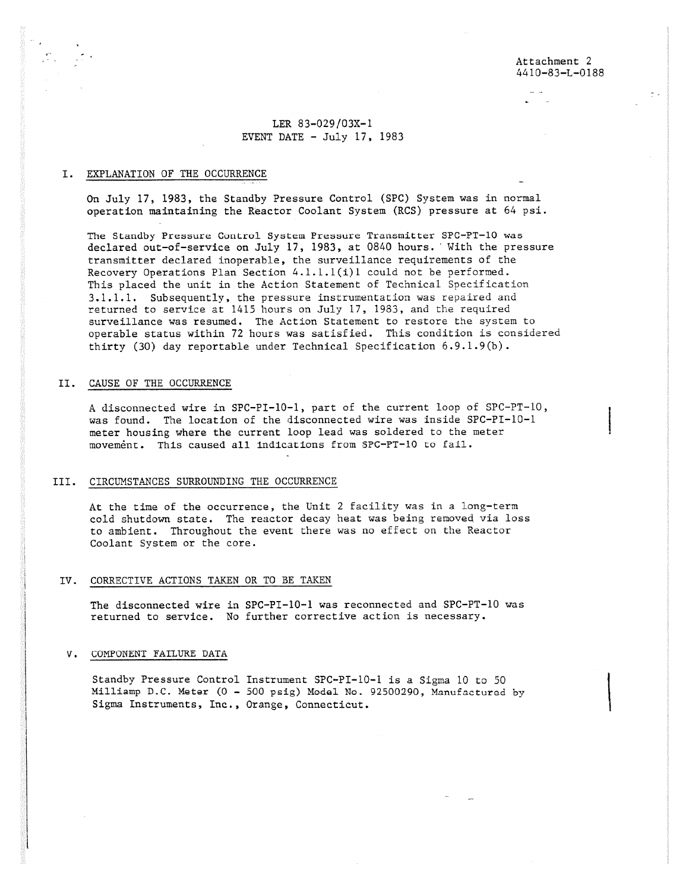# LER 83-029/03X-1 EVENT DATE  $-$  July 17, 1983

# I. EXPLANATION OF THE OCCURRENCE

On July 17, 1983, the Standby Pressure Control (SPC) System was in normal operation maintaining the Reactor Coolant System (RCS) pressure at 64 psi.

The Standby Pressure Control System Pressure Transmitter SPC-PT-10 was declared out-of-service on July 17, 1983, at 0840 hours. With the pressure transmitter declared inoperable, the surveillance requirements of the Recovery Operations Plan Section 4.1.1.1(i)1 could not be performed. This placed the unit in the Action Statement of Technical Specification 3.1.1.1. Subsequently, the pressure instrumentation was repaired and returned to service at 1415 hours on July 17, 1933, and the required surveillance was resumed. The Action Statement to restore the system to operable status within 72 hours was satisfied. This condition is considered thirty (30) day reportable under Technical Specification 6.9.1.9(b).

### II. CAUSE OF THE OCCURRENCE

A disconnected wire in SPC-PI-10-1, part of the current loop of SPC-PT-10, was found. The location of the disconnected wire was inside SPC-PI-10-1 meter housing where the current loop lead was soldered to the meter movement. This caused all indications from SPC-PT-10 to fail.

## III. CIRCUMSTANCES SURROUNDING THE OCCURRENCE

At the time of the occurrence, the Unit 2 facility was in a long-term cold shutdown state. The reactor decay heat was being removed via loss to ambient. Throughout the event there was no effect on the Reactor Coolant System or the core.

### IV. CORRECTIVE ACTIONS TAKEN OR TO BE TAKEN

The disconnected wire in SPC-PI-10-1 was reconnected and SPC-PT-10 *was* returned to service. No further corrective action is necessary.

#### V. COMPONENT FAILURE DATA

Standby Pressure Control Instrument SPC-PI-10-1 is a Sigma 10 to 50 Milliamp D.C. Meter (0 - 500 psig) Model No. 92500290, Manufactured by Sigma Instruments, Inc., Orange, Connecticut.